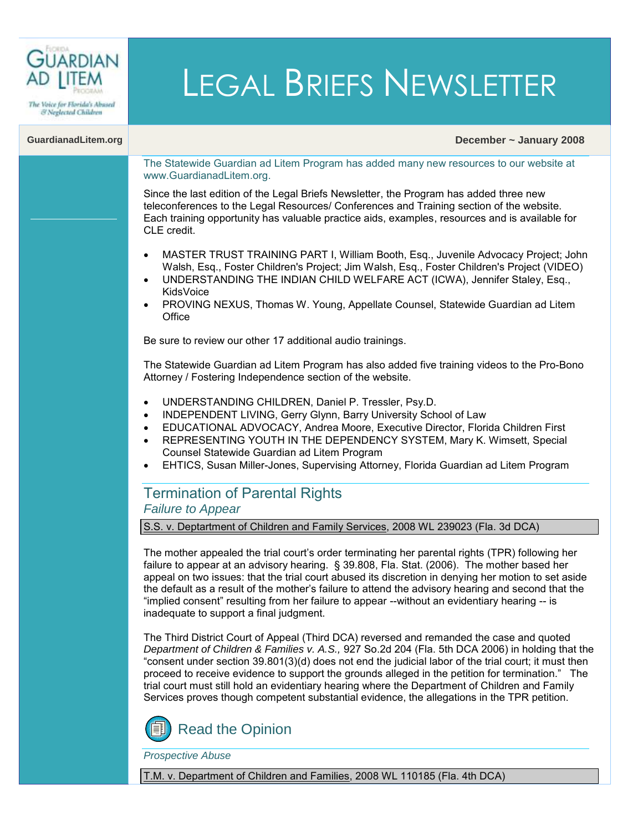

& Neglected Children

# LEGAL BRIEFS NEWSLETTER

#### **GuardianadLitem.org December ~ January 2008**

The Statewide Guardian ad Litem Program has added many new resources to our website at [www.GuardianadLitem.org.](www.guardianadlitem.org)

Since the last edition of the Legal Briefs Newsletter, the Program has added three new teleconferences to the Legal Resources/ [Conferences and Training](http://www.guardianadlitem.org/att_conf_train.asp) section of the website. Each training opportunity has valuable practice aids, examples, resources and is available for CLE credit.

- MASTER TRUST TRAINING PART I, William Booth, Esq., Juvenile Advocacy Project; John Walsh, Esq., Foster Children's Project; Jim Walsh, Esq., Foster Children's Project (VIDEO)
- UNDERSTANDING THE INDIAN CHILD WELFARE ACT (ICWA), Jennifer Staley, Esq., KidsVoice
- PROVING NEXUS, Thomas W. Young, Appellate Counsel, Statewide Guardian ad Litem **Office**

Be sure to review our other 17 additional audio trainings.

The Statewide Guardian ad Litem Program has also added five training videos to the [Pro-Bono](http://www.guardianadlitem.org/probono_train.asp)  [Attorney / Fostering Independence](http://www.guardianadlitem.org/probono_train.asp) section of the website.

- UNDERSTANDING CHILDREN, Daniel P. Tressler, Psy.D.
- INDEPENDENT LIVING, Gerry Glynn, Barry University School of Law
- EDUCATIONAL ADVOCACY, Andrea Moore, Executive Director, Florida Children First
- REPRESENTING YOUTH IN THE DEPENDENCY SYSTEM, Mary K. Wimsett, Special Counsel Statewide Guardian ad Litem Program
- EHTICS, Susan Miller-Jones, Supervising Attorney, Florida Guardian ad Litem Program

# Termination of Parental Rights *Failure to Appear*

S.S. v. Deptartment of Children and Family Services, 2008 WL 239023 (Fla. 3d DCA)

The mother appealed the trial court's order terminating her parental rights (TPR) following her failure to appear at an advisory hearing. [§ 39.808, Fla. Stat. \(2006\).](http://www.flsenate.gov/Statutes/index.cfm?App_mode=Display_Statute&Search_String=&URL=Ch0039/SEC808.HTM&Title=->2006->Ch0039->Section%20808#0039.808) The mother based her appeal on two issues: that the trial court abused its discretion in denying her motion to set aside the default as a result of the mother's failure to attend the advisory hearing and second that the "implied consent" resulting from her failure to appear --without an evidentiary hearing -- is inadequate to support a final judgment.

The Third District Court of Appeal (Third DCA) reversed and remanded the case and quoted *Department of Children & Families v. A.S.,* 927 So.2d 204 (Fla. 5th DCA 2006) in holding that the "consent under section [39.801\(3\)\(d\)](http://www.flsenate.gov/Statutes/index.cfm?App_mode=Display_Statute&Search_String=&URL=Ch0039/SEC801.HTM&Title=->2006->Ch0039->Section%20801#0039.801) does not end the judicial labor of the trial court; it must then proceed to receive evidence to support the grounds alleged in the petition for termination." The trial court must still hold an evidentiary hearing where the Department of Children and Family Services proves though competent substantial evidence, the allegations in the TPR petition.



*Prospective Abuse*

T.M. v. Department of Children and Families, 2008 WL 110185 (Fla. 4th DCA)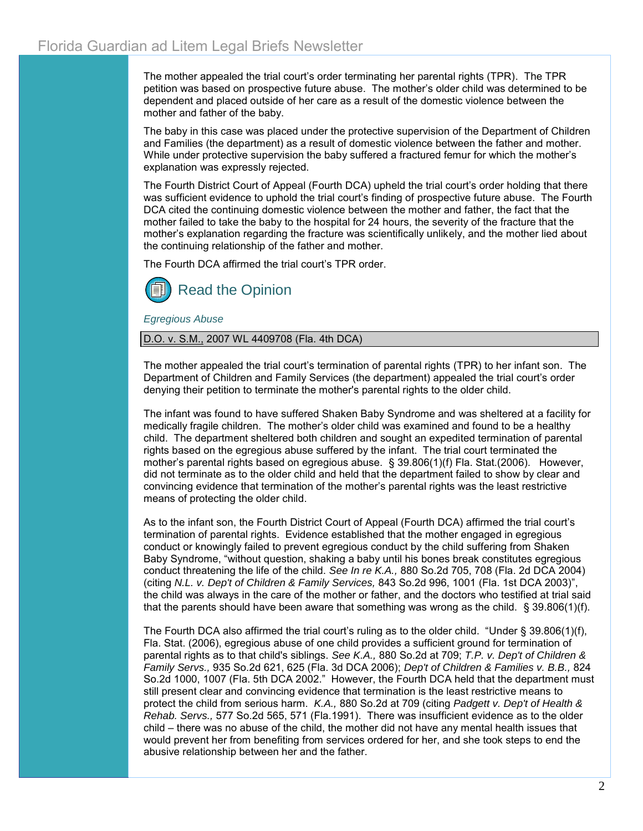The mother appealed the trial court's order terminating her parental rights (TPR). The TPR petition was based on prospective future abuse. The mother's older child was determined to be dependent and placed outside of her care as a result of the domestic violence between the mother and father of the baby.

The baby in this case was placed under the protective supervision of the Department of Children and Families (the department) as a result of domestic violence between the father and mother. While under protective supervision the baby suffered a fractured femur for which the mother's explanation was expressly rejected.

The Fourth District Court of Appeal (Fourth DCA) upheld the trial court's order holding that there was sufficient evidence to uphold the trial court's finding of prospective future abuse. The Fourth DCA cited the continuing domestic violence between the mother and father, the fact that the mother failed to take the baby to the hospital for 24 hours, the severity of the fracture that the mother's explanation regarding the fracture was scientifically unlikely, and the mother lied about the continuing relationship of the father and mother.

The Fourth DCA affirmed the trial court's TPR order.



*Egregious Abuse*

D.O. v. S.M., 2007 WL 4409708 (Fla. 4th DCA)

The mother appealed the trial court's termination of parental rights (TPR) to her infant son. The Department of Children and Family Services (the department) appealed the trial court's order denying their petition to terminate the mother's parental rights to the older child.

The infant was found to have suffered Shaken Baby Syndrome and was sheltered at a facility for medically fragile children. The mother's older child was examined and found to be a healthy child. The department sheltered both children and sought an expedited termination of parental rights based on the egregious abuse suffered by the infant. The trial court terminated the mother's parental rights based on egregious abuse. § 39.806(1)(f) [Fla. Stat.\(2006\). H](http://www.flsenate.gov/Statutes/index.cfm?App_mode=Display_Statute&Search_String=&URL=Ch0039/SEC806.HTM&Title=->2006->Ch0039->Section%20806#0039.806)owever, did not terminate as to the older child and held that the department failed to show by clear and convincing evidence that termination of the mother's parental rights was the least restrictive means of protecting the older child.

As to the infant son, the Fourth District Court of Appeal (Fourth DCA) affirmed the trial court's termination of parental rights. Evidence established that the mother engaged in egregious conduct or knowingly failed to prevent egregious conduct by the child suffering from Shaken Baby Syndrome, "without question, shaking a baby until his bones break constitutes egregious conduct threatening the life of the child. *See In re K.A.,* 880 So.2d 705, 708 (Fla. 2d DCA 2004) (citing *N.L. v. Dep't of Children & Family Services,* 843 So.2d 996, 1001 (Fla. 1st DCA 2003)", the child was always in the care of the mother or father, and the doctors who testified at trial said that the parents should have been aware that something was wrong as the child. [§ 39.806\(1\)\(f\).](http://www.flsenate.gov/Statutes/index.cfm?App_mode=Display_Statute&Search_String=&URL=Ch0039/SEC806.HTM&Title=->2006->Ch0039->Section%20806#0039.806)

The Fourth DCA also affirmed the trial court's ruling as to the older child. "Under [§ 39.806\(1\)\(f\),](http://www.flsenate.gov/Statutes/index.cfm?App_mode=Display_Statute&Search_String=&URL=Ch0039/SEC806.HTM&Title=->2006->Ch0039->Section%20806#0039.806)  Fla. Stat. (2006), egregious abuse of one child provides a sufficient ground for termination of parental rights as to that child's siblings. *See K.A.,* 880 So.2d at 709; *T.P. v. Dep't of Children & Family Servs.,* 935 So.2d 621, 625 (Fla. 3d DCA 2006); *Dep't of Children & Families v. B.B.,* 824 So.2d 1000, 1007 (Fla. 5th DCA 2002." However, the Fourth DCA held that the department must still present clear and convincing evidence that termination is the least restrictive means to protect the child from serious harm. *K.A.,* 880 So.2d at 709 (citing *Padgett v. Dep't of Health & Rehab. Servs.,* 577 So.2d 565, 571 (Fla.1991). There was insufficient evidence as to the older child – there was no abuse of the child, the mother did not have any mental health issues that would prevent her from benefiting from services ordered for her, and she took steps to end the abusive relationship between her and the father.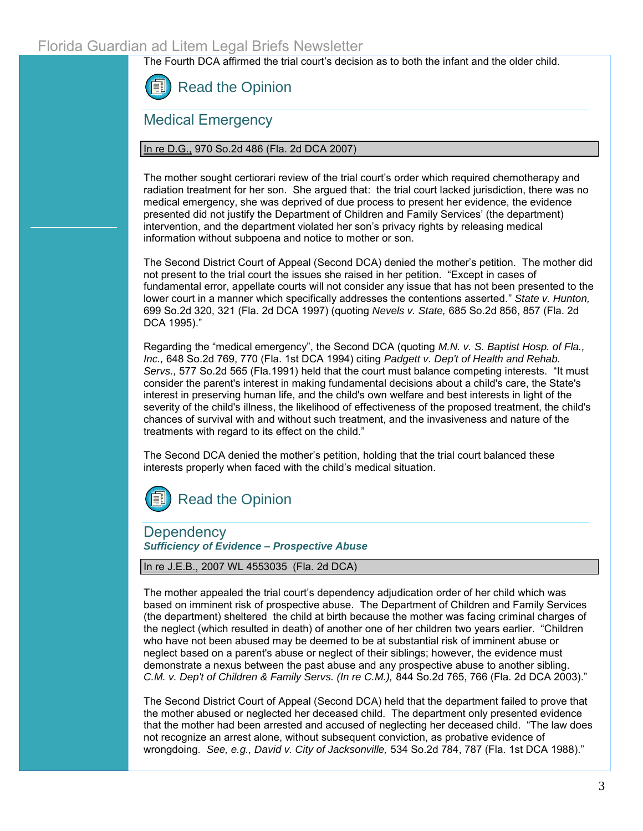The Fourth DCA affirmed the trial court's decision as to both the infant and the older child.



Medical Emergency

# In re D.G., 970 So.2d 486 (Fla. 2d DCA 2007)

The mother sought certiorari review of the trial court's order which required chemotherapy and radiation treatment for her son. She argued that: the trial court lacked jurisdiction, there was no medical emergency, she was deprived of due process to present her evidence, the evidence presented did not justify the Department of Children and Family Services' (the department) intervention, and the department violated her son's privacy rights by releasing medical information without subpoena and notice to mother or son.

The Second District Court of Appeal (Second DCA) denied the mother's petition. The mother did not present to the trial court the issues she raised in her petition. "Except in cases of fundamental error, appellate courts will not consider any issue that has not been presented to the lower court in a manner which specifically addresses the contentions asserted." *State v. Hunton,* 699 So.2d 320, 321 (Fla. 2d DCA 1997) (quoting *Nevels v. State,* 685 So.2d 856, 857 (Fla. 2d DCA 1995)."

Regarding the "medical emergency", the Second DCA (quoting *M.N. v. S. Baptist Hosp. of Fla., Inc.,* 648 So.2d 769, 770 (Fla. 1st DCA 1994) citing *Padgett v. Dep't of Health and Rehab. Servs.,* 577 So.2d 565 (Fla.1991) held that the court must balance competing interests. "It must consider the parent's interest in making fundamental decisions about a child's care, the State's interest in preserving human life, and the child's own welfare and best interests in light of the severity of the child's illness, the likelihood of effectiveness of the proposed treatment, the child's chances of survival with and without such treatment, and the invasiveness and nature of the treatments with regard to its effect on the child."

The Second DCA denied the mother's petition, holding that the trial court balanced these interests properly when faced with the child's medical situation.



# **Dependency** *Sufficiency of Evidence – Prospective Abuse*

## In re J.E.B., 2007 WL 4553035 (Fla. 2d DCA)

The mother appealed the trial court's dependency adjudication order of her child which was based on imminent risk of prospective abuse. The Department of Children and Family Services (the department) sheltered the child at birth because the mother was facing criminal charges of the neglect (which resulted in death) of another one of her children two years earlier. "Children who have not been abused may be deemed to be at substantial risk of imminent abuse or neglect based on a parent's abuse or neglect of their siblings; however, the evidence must demonstrate a nexus between the past abuse and any prospective abuse to another sibling. *C.M. v. Dep't of Children & Family Servs. (In re C.M.),* 844 So.2d 765, 766 (Fla. 2d DCA 2003)."

The Second District Court of Appeal (Second DCA) held that the department failed to prove that the mother abused or neglected her deceased child. The department only presented evidence that the mother had been arrested and accused of neglecting her deceased child. "The law does not recognize an arrest alone, without subsequent conviction, as probative evidence of wrongdoing. *See, e.g., David v. City of Jacksonville,* 534 So.2d 784, 787 (Fla. 1st DCA 1988)."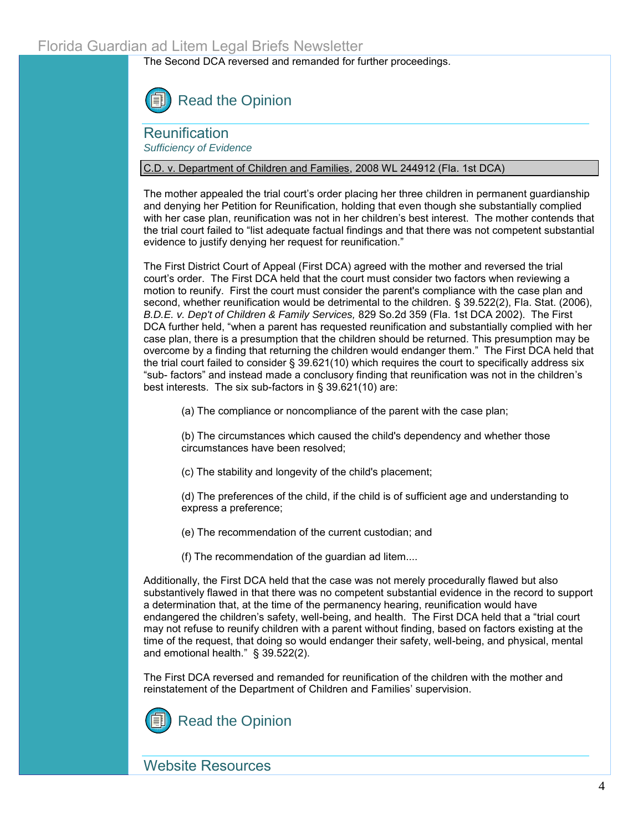The Second DCA reversed and remanded for further proceedings.



**Reunification** *Sufficiency of Evidence*

## C.D. v. Department of Children and Families, 2008 WL 244912 (Fla. 1st DCA)

The mother appealed the trial court's order placing her three children in permanent guardianship and denying her Petition for Reunification, holding that even though she substantially complied with her case plan, reunification was not in her children's best interest. The mother contends that the trial court failed to "list adequate factual findings and that there was not competent substantial evidence to justify denying her request for reunification."

The First District Court of Appeal (First DCA) agreed with the mother and reversed the trial court's order. The First DCA held that the court must consider two factors when reviewing a motion to reunify. First the court must consider the parent's compliance with the case plan and second, whether reunification would be detrimental to the children. [§ 39.522\(2\), Fla. Stat. \(2006\),](http://www.flsenate.gov/Statutes/index.cfm?App_mode=Display_Statute&URL=Ch0039/part07.htm&StatuteYear=2006&Title=%2D%3E2006%2D%3EChapter%2039%2D%3EPart%20VII)  *B.D.E. v. Dep't of Children & Family Services,* 829 So.2d 359 (Fla. 1st DCA 2002). The First DCA further held, "when a parent has requested reunification and substantially complied with her case plan, there is a presumption that the children should be returned. This presumption may be overcome by a finding that returning the children would endanger them." The First DCA held that the trial court failed to consider [§ 39.621\(10\) w](http://www.flsenate.gov/Statutes/index.cfm?App_mode=Display_Statute&Search_String=&URL=Ch0039/SEC621.HTM&Title=->2006->Ch0039->Section%20621#0039.621)hich requires the court to specifically address six "sub- factors" and instead made a conclusory finding that reunification was not in the children's best interests. The six sub-factors in [§ 39.621\(10\) a](http://www.flsenate.gov/Statutes/index.cfm?App_mode=Display_Statute&Search_String=&URL=Ch0039/SEC621.HTM&Title=->2006->Ch0039->Section%20621#0039.621)re:

(a) The compliance or noncompliance of the parent with the case plan;

(b) The circumstances which caused the child's dependency and whether those circumstances have been resolved;

(c) The stability and longevity of the child's placement;

(d) The preferences of the child, if the child is of sufficient age and understanding to express a preference;

(e) The recommendation of the current custodian; and

(f) The recommendation of the guardian ad litem....

Additionally, the First DCA held that the case was not merely procedurally flawed but also substantively flawed in that there was no competent substantial evidence in the record to support a determination that, at the time of the permanency hearing, reunification would have endangered the children's safety, well-being, and health. The First DCA held that a "trial court may not refuse to reunify children with a parent without finding, based on factors existing at the time of the request, that doing so would endanger their safety, well-being, and physical, mental and emotional health." [§ 39.522\(2\).](http://www.flsenate.gov/Statutes/index.cfm?App_mode=Display_Statute&Search_String=&URL=Ch0039/SEC522.HTM&Title=->2006->Ch0039->Section%20522#0039.522)

The First DCA reversed and remanded for reunification of the children with the mother and reinstatement of the Department of Children and Families' supervision.



Website Resources